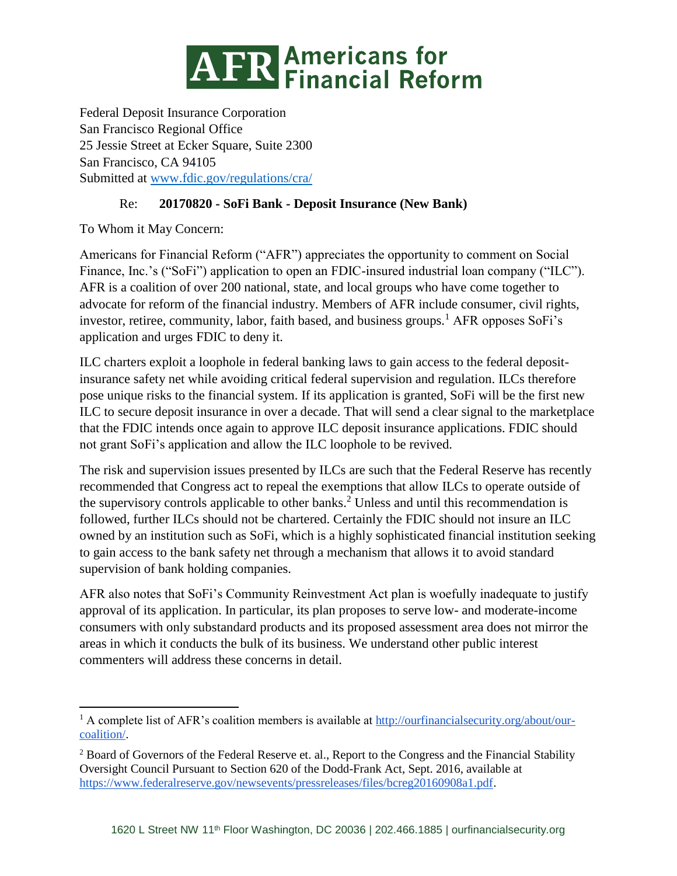

Federal Deposit Insurance Corporation San Francisco Regional Office 25 Jessie Street at Ecker Square, Suite 2300 San Francisco, CA 94105 Submitted at [www.fdic.gov/regulations/cra/](http://www.fdic.gov/regulations/cra/)

# Re: **20170820 - SoFi Bank - Deposit Insurance (New Bank)**

To Whom it May Concern:

 $\overline{\phantom{a}}$ 

Americans for Financial Reform ("AFR") appreciates the opportunity to comment on Social Finance, Inc.'s ("SoFi") application to open an FDIC-insured industrial loan company ("ILC"). AFR is a coalition of over 200 national, state, and local groups who have come together to advocate for reform of the financial industry. Members of AFR include consumer, civil rights, investor, retiree, community, labor, faith based, and business groups.<sup>1</sup> AFR opposes SoFi's application and urges FDIC to deny it.

ILC charters exploit a loophole in federal banking laws to gain access to the federal depositinsurance safety net while avoiding critical federal supervision and regulation. ILCs therefore pose unique risks to the financial system. If its application is granted, SoFi will be the first new ILC to secure deposit insurance in over a decade. That will send a clear signal to the marketplace that the FDIC intends once again to approve ILC deposit insurance applications. FDIC should not grant SoFi's application and allow the ILC loophole to be revived.

The risk and supervision issues presented by ILCs are such that the Federal Reserve has recently recommended that Congress act to repeal the exemptions that allow ILCs to operate outside of the supervisory controls applicable to other banks.<sup>2</sup> Unless and until this recommendation is followed, further ILCs should not be chartered. Certainly the FDIC should not insure an ILC owned by an institution such as SoFi, which is a highly sophisticated financial institution seeking to gain access to the bank safety net through a mechanism that allows it to avoid standard supervision of bank holding companies.

AFR also notes that SoFi's Community Reinvestment Act plan is woefully inadequate to justify approval of its application. In particular, its plan proposes to serve low- and moderate-income consumers with only substandard products and its proposed assessment area does not mirror the areas in which it conducts the bulk of its business. We understand other public interest commenters will address these concerns in detail.

<sup>&</sup>lt;sup>1</sup> A complete list of AFR's coalition members is available at [http://ourfinancialsecurity.org/about/our](http://ourfinancialsecurity.org/about/our-coalition/)[coalition/.](http://ourfinancialsecurity.org/about/our-coalition/)

<sup>2</sup> Board of Governors of the Federal Reserve et. al., Report to the Congress and the Financial Stability Oversight Council Pursuant to Section 620 of the Dodd-Frank Act, Sept. 2016, available at [https://www.federalreserve.gov/newsevents/pressreleases/files/bcreg20160908a1.pdf.](https://www.federalreserve.gov/newsevents/pressreleases/files/bcreg20160908a1.pdf)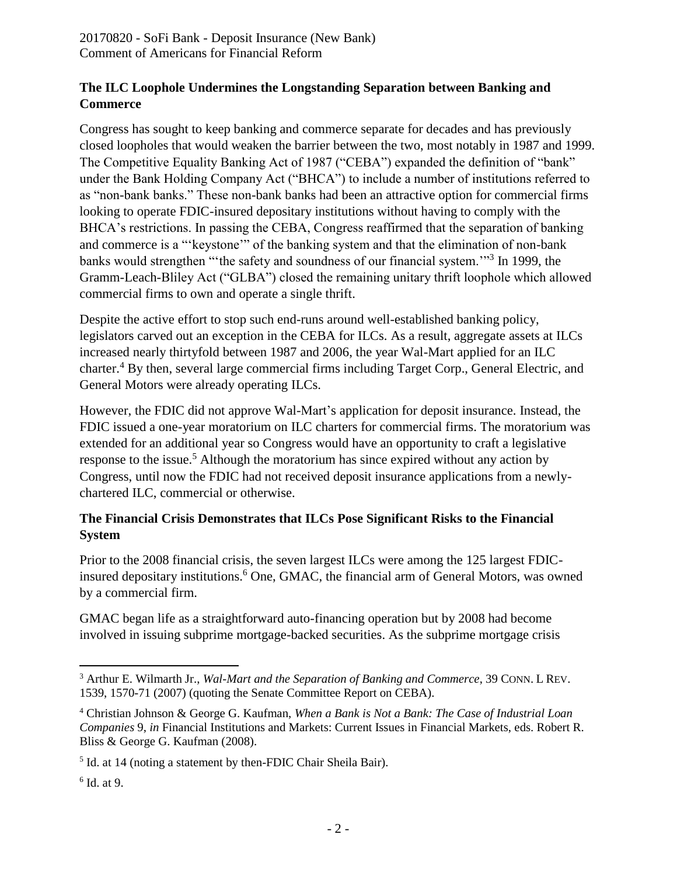#### **The ILC Loophole Undermines the Longstanding Separation between Banking and Commerce**

Congress has sought to keep banking and commerce separate for decades and has previously closed loopholes that would weaken the barrier between the two, most notably in 1987 and 1999. The Competitive Equality Banking Act of 1987 ("CEBA") expanded the definition of "bank" under the Bank Holding Company Act ("BHCA") to include a number of institutions referred to as "non-bank banks." These non-bank banks had been an attractive option for commercial firms looking to operate FDIC-insured depositary institutions without having to comply with the BHCA's restrictions. In passing the CEBA, Congress reaffirmed that the separation of banking and commerce is a "'keystone'" of the banking system and that the elimination of non-bank banks would strengthen "'the safety and soundness of our financial system."<sup>3</sup> In 1999, the Gramm-Leach-Bliley Act ("GLBA") closed the remaining unitary thrift loophole which allowed commercial firms to own and operate a single thrift.

Despite the active effort to stop such end-runs around well-established banking policy, legislators carved out an exception in the CEBA for ILCs. As a result, aggregate assets at ILCs increased nearly thirtyfold between 1987 and 2006, the year Wal-Mart applied for an ILC charter.<sup>4</sup> By then, several large commercial firms including Target Corp., General Electric, and General Motors were already operating ILCs.

However, the FDIC did not approve Wal-Mart's application for deposit insurance. Instead, the FDIC issued a one-year moratorium on ILC charters for commercial firms. The moratorium was extended for an additional year so Congress would have an opportunity to craft a legislative response to the issue.<sup>5</sup> Although the moratorium has since expired without any action by Congress, until now the FDIC had not received deposit insurance applications from a newlychartered ILC, commercial or otherwise.

## **The Financial Crisis Demonstrates that ILCs Pose Significant Risks to the Financial System**

Prior to the 2008 financial crisis, the seven largest ILCs were among the 125 largest FDICinsured depositary institutions.<sup>6</sup> One, GMAC, the financial arm of General Motors, was owned by a commercial firm.

GMAC began life as a straightforward auto-financing operation but by 2008 had become involved in issuing subprime mortgage-backed securities. As the subprime mortgage crisis

 $\overline{a}$ <sup>3</sup> Arthur E. Wilmarth Jr., *Wal-Mart and the Separation of Banking and Commerce*, 39 CONN. L REV. 1539, 1570-71 (2007) (quoting the Senate Committee Report on CEBA).

<sup>4</sup> Christian Johnson & George G. Kaufman, *When a Bank is Not a Bank: The Case of Industrial Loan Companies* 9, *in* Financial Institutions and Markets: Current Issues in Financial Markets, eds. Robert R. Bliss & George G. Kaufman (2008).

<sup>&</sup>lt;sup>5</sup> Id. at 14 (noting a statement by then-FDIC Chair Sheila Bair).

<sup>6</sup> Id. at 9.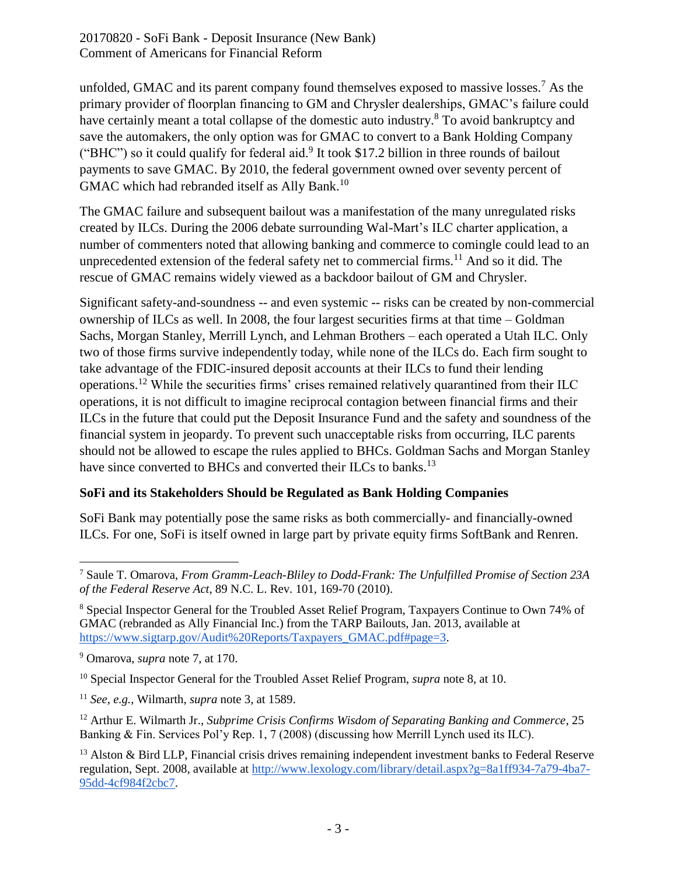20170820 - SoFi Bank - Deposit Insurance (New Bank) Comment of Americans for Financial Reform

unfolded, GMAC and its parent company found themselves exposed to massive losses.<sup>7</sup> As the primary provider of floorplan financing to GM and Chrysler dealerships, GMAC's failure could have certainly meant a total collapse of the domestic auto industry.<sup>8</sup> To avoid bankruptcy and save the automakers, the only option was for GMAC to convert to a Bank Holding Company ("BHC") so it could qualify for federal aid. $9$  It took \$17.2 billion in three rounds of bailout payments to save GMAC. By 2010, the federal government owned over seventy percent of GMAC which had rebranded itself as Ally Bank.<sup>10</sup>

The GMAC failure and subsequent bailout was a manifestation of the many unregulated risks created by ILCs. During the 2006 debate surrounding Wal-Mart's ILC charter application, a number of commenters noted that allowing banking and commerce to comingle could lead to an unprecedented extension of the federal safety net to commercial firms.<sup>11</sup> And so it did. The rescue of GMAC remains widely viewed as a backdoor bailout of GM and Chrysler.

Significant safety-and-soundness -- and even systemic -- risks can be created by non-commercial ownership of ILCs as well. In 2008, the four largest securities firms at that time – Goldman Sachs, Morgan Stanley, Merrill Lynch, and Lehman Brothers – each operated a Utah ILC. Only two of those firms survive independently today, while none of the ILCs do. Each firm sought to take advantage of the FDIC-insured deposit accounts at their ILCs to fund their lending operations.<sup>12</sup> While the securities firms' crises remained relatively quarantined from their ILC operations, it is not difficult to imagine reciprocal contagion between financial firms and their ILCs in the future that could put the Deposit Insurance Fund and the safety and soundness of the financial system in jeopardy. To prevent such unacceptable risks from occurring, ILC parents should not be allowed to escape the rules applied to BHCs. Goldman Sachs and Morgan Stanley have since converted to BHCs and converted their ILCs to banks.<sup>13</sup>

## **SoFi and its Stakeholders Should be Regulated as Bank Holding Companies**

SoFi Bank may potentially pose the same risks as both commercially- and financially-owned ILCs. For one, SoFi is itself owned in large part by private equity firms SoftBank and Renren.

 $\overline{\phantom{a}}$ <sup>7</sup> Saule T. Omarova, *From Gramm-Leach-Bliley to Dodd-Frank: The Unfulfilled Promise of Section 23A of the Federal Reserve Act*, 89 N.C. L. Rev. 101, 169-70 (2010).

<sup>8</sup> Special Inspector General for the Troubled Asset Relief Program, Taxpayers Continue to Own 74% of GMAC (rebranded as Ally Financial Inc.) from the TARP Bailouts, Jan. 2013, available at [https://www.sigtarp.gov/Audit%20Reports/Taxpayers\\_GMAC.pdf#page=3.](https://www.sigtarp.gov/Audit%20Reports/Taxpayers_GMAC.pdf#page=3)

<sup>9</sup> Omarova, *supra* note 7, at 170.

<sup>10</sup> Special Inspector General for the Troubled Asset Relief Program, *supra* note 8, at 10.

<sup>11</sup> *See*, *e.g.*, Wilmarth, *supra* note 3, at 1589.

<sup>12</sup> Arthur E. Wilmarth Jr., *Subprime Crisis Confirms Wisdom of Separating Banking and Commerce*, 25 Banking & Fin. Services Pol'y Rep. 1, 7 (2008) (discussing how Merrill Lynch used its ILC).

<sup>&</sup>lt;sup>13</sup> Alston & Bird LLP, Financial crisis drives remaining independent investment banks to Federal Reserve regulation, Sept. 2008, available at [http://www.lexology.com/library/detail.aspx?g=8a1ff934-7a79-4ba7-](http://www.lexology.com/library/detail.aspx?g=8a1ff934-7a79-4ba7-95dd-4cf984f2cbc7) [95dd-4cf984f2cbc7.](http://www.lexology.com/library/detail.aspx?g=8a1ff934-7a79-4ba7-95dd-4cf984f2cbc7)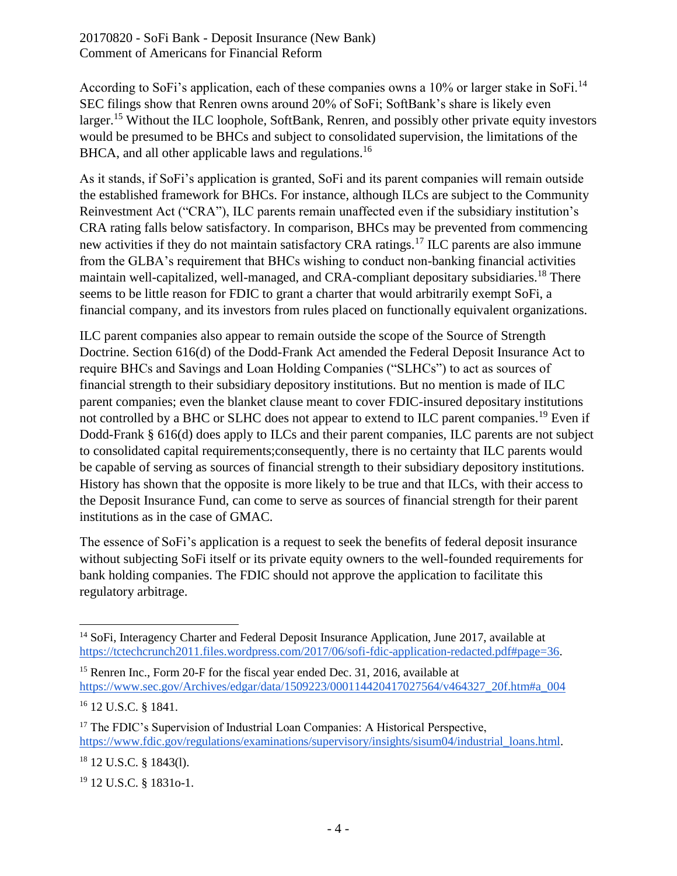20170820 - SoFi Bank - Deposit Insurance (New Bank) Comment of Americans for Financial Reform

According to SoFi's application, each of these companies owns a 10% or larger stake in SoFi.<sup>14</sup> SEC filings show that Renren owns around 20% of SoFi; SoftBank's share is likely even larger.<sup>15</sup> Without the ILC loophole, SoftBank, Renren, and possibly other private equity investors would be presumed to be BHCs and subject to consolidated supervision, the limitations of the BHCA, and all other applicable laws and regulations.<sup>16</sup>

As it stands, if SoFi's application is granted, SoFi and its parent companies will remain outside the established framework for BHCs. For instance, although ILCs are subject to the Community Reinvestment Act ("CRA"), ILC parents remain unaffected even if the subsidiary institution's CRA rating falls below satisfactory. In comparison, BHCs may be prevented from commencing new activities if they do not maintain satisfactory CRA ratings.<sup>17</sup> ILC parents are also immune from the GLBA's requirement that BHCs wishing to conduct non-banking financial activities maintain well-capitalized, well-managed, and CRA-compliant depositary subsidiaries.<sup>18</sup> There seems to be little reason for FDIC to grant a charter that would arbitrarily exempt SoFi, a financial company, and its investors from rules placed on functionally equivalent organizations.

ILC parent companies also appear to remain outside the scope of the Source of Strength Doctrine. Section 616(d) of the Dodd-Frank Act amended the Federal Deposit Insurance Act to require BHCs and Savings and Loan Holding Companies ("SLHCs") to act as sources of financial strength to their subsidiary depository institutions. But no mention is made of ILC parent companies; even the blanket clause meant to cover FDIC-insured depositary institutions not controlled by a BHC or SLHC does not appear to extend to ILC parent companies.<sup>19</sup> Even if Dodd-Frank § 616(d) does apply to ILCs and their parent companies, ILC parents are not subject to consolidated capital requirements;consequently, there is no certainty that ILC parents would be capable of serving as sources of financial strength to their subsidiary depository institutions. History has shown that the opposite is more likely to be true and that ILCs, with their access to the Deposit Insurance Fund, can come to serve as sources of financial strength for their parent institutions as in the case of GMAC.

The essence of SoFi's application is a request to seek the benefits of federal deposit insurance without subjecting SoFi itself or its private equity owners to the well-founded requirements for bank holding companies. The FDIC should not approve the application to facilitate this regulatory arbitrage.

<sup>18</sup> 12 U.S.C. § 1843(l).

 $\overline{\phantom{a}}$ <sup>14</sup> SoFi, Interagency Charter and Federal Deposit Insurance Application, June 2017, available at [https://tctechcrunch2011.files.wordpress.com/2017/06/sofi-fdic-application-redacted.pdf#page=36.](https://tctechcrunch2011.files.wordpress.com/2017/06/sofi-fdic-application-redacted.pdf#page=36)

<sup>&</sup>lt;sup>15</sup> Renren Inc., Form 20-F for the fiscal year ended Dec. 31, 2016, available at [https://www.sec.gov/Archives/edgar/data/1509223/000114420417027564/v464327\\_20f.htm#a\\_004](https://www.sec.gov/Archives/edgar/data/1509223/000114420417027564/v464327_20f.htm#a_004)

<sup>16</sup> 12 U.S.C. § 1841.

<sup>&</sup>lt;sup>17</sup> The FDIC's Supervision of Industrial Loan Companies: A Historical Perspective, [https://www.fdic.gov/regulations/examinations/supervisory/insights/sisum04/industrial\\_loans.html.](https://www.fdic.gov/regulations/examinations/supervisory/insights/sisum04/industrial_loans.html)

<sup>19</sup> 12 U.S.C. § 1831o-1.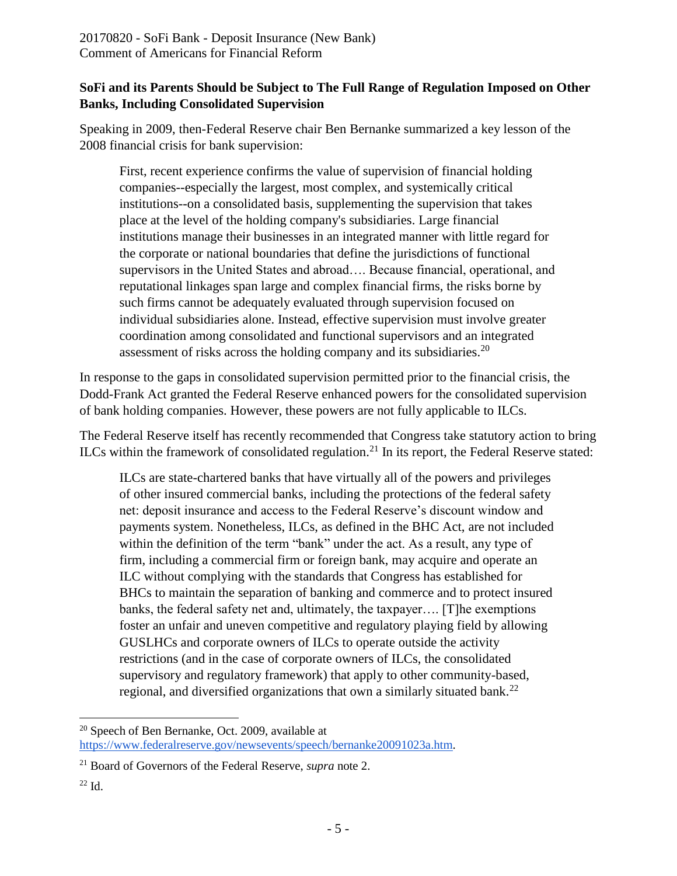## **SoFi and its Parents Should be Subject to The Full Range of Regulation Imposed on Other Banks, Including Consolidated Supervision**

Speaking in 2009, then-Federal Reserve chair Ben Bernanke summarized a key lesson of the 2008 financial crisis for bank supervision:

First, recent experience confirms the value of supervision of financial holding companies--especially the largest, most complex, and systemically critical institutions--on a consolidated basis, supplementing the supervision that takes place at the level of the holding company's subsidiaries. Large financial institutions manage their businesses in an integrated manner with little regard for the corporate or national boundaries that define the jurisdictions of functional supervisors in the United States and abroad…. Because financial, operational, and reputational linkages span large and complex financial firms, the risks borne by such firms cannot be adequately evaluated through supervision focused on individual subsidiaries alone. Instead, effective supervision must involve greater coordination among consolidated and functional supervisors and an integrated assessment of risks across the holding company and its subsidiaries.<sup>20</sup>

In response to the gaps in consolidated supervision permitted prior to the financial crisis, the Dodd-Frank Act granted the Federal Reserve enhanced powers for the consolidated supervision of bank holding companies. However, these powers are not fully applicable to ILCs.

The Federal Reserve itself has recently recommended that Congress take statutory action to bring ILCs within the framework of consolidated regulation.<sup>21</sup> In its report, the Federal Reserve stated:

ILCs are state-chartered banks that have virtually all of the powers and privileges of other insured commercial banks, including the protections of the federal safety net: deposit insurance and access to the Federal Reserve's discount window and payments system. Nonetheless, ILCs, as defined in the BHC Act, are not included within the definition of the term "bank" under the act. As a result, any type of firm, including a commercial firm or foreign bank, may acquire and operate an ILC without complying with the standards that Congress has established for BHCs to maintain the separation of banking and commerce and to protect insured banks, the federal safety net and, ultimately, the taxpayer…. [T]he exemptions foster an unfair and uneven competitive and regulatory playing field by allowing GUSLHCs and corporate owners of ILCs to operate outside the activity restrictions (and in the case of corporate owners of ILCs, the consolidated supervisory and regulatory framework) that apply to other community-based, regional, and diversified organizations that own a similarly situated bank.<sup>22</sup>

 $\overline{\phantom{a}}$ <sup>20</sup> Speech of Ben Bernanke, Oct. 2009, available at [https://www.federalreserve.gov/newsevents/speech/bernanke20091023a.htm.](https://www.federalreserve.gov/newsevents/speech/bernanke20091023a.htm)

<sup>21</sup> Board of Governors of the Federal Reserve, *supra* note 2.

 $22$  Id.